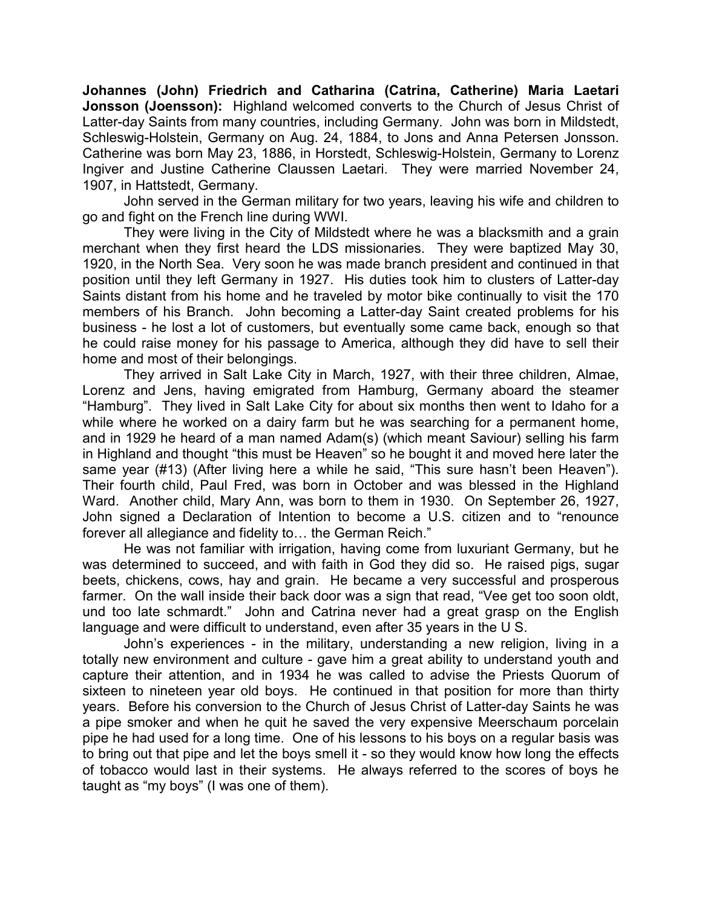**Johannes (John) Friedrich and Catharina (Catrina, Catherine) Maria Laetari Jonsson (Joensson):** Highland welcomed converts to the Church of Jesus Christ of Latter-day Saints from many countries, including Germany. John was born in Mildstedt, Schleswig-Holstein, Germany on Aug. 24, 1884, to Jons and Anna Petersen Jonsson. Catherine was born May 23, 1886, in Horstedt, Schleswig-Holstein, Germany to Lorenz Ingiver and Justine Catherine Claussen Laetari. They were married November 24, 1907, in Hattstedt, Germany.

John served in the German military for two years, leaving his wife and children to go and fight on the French line during WWI.

They were living in the City of Mildstedt where he was a blacksmith and a grain merchant when they first heard the LDS missionaries. They were baptized May 30, 1920, in the North Sea. Very soon he was made branch president and continued in that position until they left Germany in 1927. His duties took him to clusters of Latter-day Saints distant from his home and he traveled by motor bike continually to visit the 170 members of his Branch. John becoming a Latter-day Saint created problems for his business - he lost a lot of customers, but eventually some came back, enough so that he could raise money for his passage to America, although they did have to sell their home and most of their belongings.

They arrived in Salt Lake City in March, 1927, with their three children, Almae, Lorenz and Jens, having emigrated from Hamburg, Germany aboard the steamer "Hamburg". They lived in Salt Lake City for about six months then went to Idaho for a while where he worked on a dairy farm but he was searching for a permanent home, and in 1929 he heard of a man named Adam(s) (which meant Saviour) selling his farm in Highland and thought "this must be Heaven" so he bought it and moved here later the same year (#13) (After living here a while he said, "This sure hasn't been Heaven"). Their fourth child, Paul Fred, was born in October and was blessed in the Highland Ward. Another child, Mary Ann, was born to them in 1930. On September 26, 1927, John signed a Declaration of Intention to become a U.S. citizen and to "renounce forever all allegiance and fidelity to… the German Reich."

He was not familiar with irrigation, having come from luxuriant Germany, but he was determined to succeed, and with faith in God they did so. He raised pigs, sugar beets, chickens, cows, hay and grain. He became a very successful and prosperous farmer. On the wall inside their back door was a sign that read, "Vee get too soon oldt, und too late schmardt." John and Catrina never had a great grasp on the English language and were difficult to understand, even after 35 years in the U S.

John's experiences - in the military, understanding a new religion, living in a totally new environment and culture - gave him a great ability to understand youth and capture their attention, and in 1934 he was called to advise the Priests Quorum of sixteen to nineteen year old boys. He continued in that position for more than thirty years. Before his conversion to the Church of Jesus Christ of Latter-day Saints he was a pipe smoker and when he quit he saved the very expensive Meerschaum porcelain pipe he had used for a long time. One of his lessons to his boys on a regular basis was to bring out that pipe and let the boys smell it - so they would know how long the effects of tobacco would last in their systems. He always referred to the scores of boys he taught as "my boys" (I was one of them).